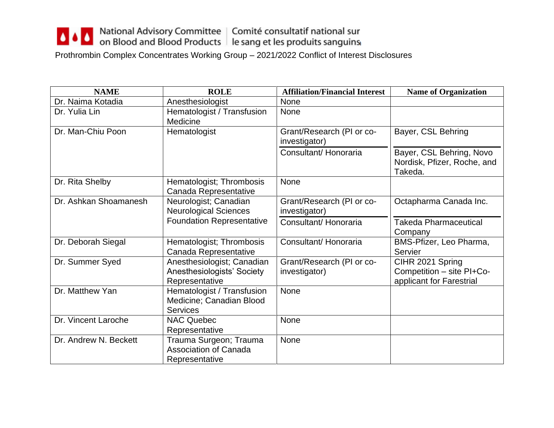## △ △ △ △ National Advisory Committee Comité consultatif national sur<br>
on Blood and Blood Products le sang et les produits sanguins

Prothrombin Complex Concentrates Working Group – 2021/2022 Conflict of Interest Disclosures

| <b>NAME</b>           | <b>ROLE</b>                                                                | <b>Affiliation/Financial Interest</b>      | <b>Name of Organization</b>                                               |
|-----------------------|----------------------------------------------------------------------------|--------------------------------------------|---------------------------------------------------------------------------|
| Dr. Naima Kotadia     | Anesthesiologist                                                           | None                                       |                                                                           |
| Dr. Yulia Lin         | Hematologist / Transfusion<br>Medicine                                     | None                                       |                                                                           |
| Dr. Man-Chiu Poon     | Hematologist                                                               | Grant/Research (PI or co-<br>investigator) | Bayer, CSL Behring                                                        |
|                       |                                                                            | Consultant/Honoraria                       | Bayer, CSL Behring, Novo<br>Nordisk, Pfizer, Roche, and<br>Takeda.        |
| Dr. Rita Shelby       | Hematologist; Thrombosis<br>Canada Representative                          | None                                       |                                                                           |
| Dr. Ashkan Shoamanesh | Neurologist; Canadian<br><b>Neurological Sciences</b>                      | Grant/Research (PI or co-<br>investigator) | Octapharma Canada Inc.                                                    |
|                       | <b>Foundation Representative</b>                                           | Consultant/Honoraria                       | <b>Takeda Pharmaceutical</b><br>Company                                   |
| Dr. Deborah Siegal    | Hematologist; Thrombosis<br>Canada Representative                          | Consultant/Honoraria                       | BMS-Pfizer, Leo Pharma,<br>Servier                                        |
| Dr. Summer Syed       | Anesthesiologist; Canadian<br>Anesthesiologists' Society<br>Representative | Grant/Research (PI or co-<br>investigator) | CIHR 2021 Spring<br>Competition - site PI+Co-<br>applicant for Farestrial |
| Dr. Matthew Yan       | Hematologist / Transfusion<br>Medicine; Canadian Blood<br><b>Services</b>  | None                                       |                                                                           |
| Dr. Vincent Laroche   | <b>NAC Quebec</b><br>Representative                                        | None                                       |                                                                           |
| Dr. Andrew N. Beckett | Trauma Surgeon; Trauma<br><b>Association of Canada</b><br>Representative   | None                                       |                                                                           |